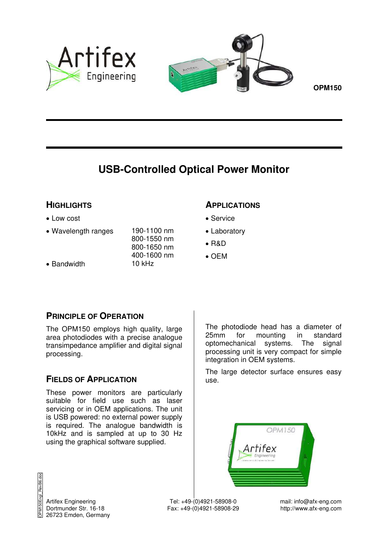



# **USB-Controlled Optical Power Monitor**

# **HIGHLIGHTS**

- Low cost
- Wavelength ranges 190-1100 nm
- Bandwidth 10 kHz

800-1550 nm 800-1650 nm 400-1600 nm

### **APPLICATIONS**

- Service
- Laboratory
- $\bullet$  R&D
- $\bullet$  OFM

# **PRINCIPLE OF OPERATION**

The OPM150 employs high quality, large area photodiodes with a precise analogue transimpedance amplifier and digital signal processing.

# **FIELDS OF APPLICATION**

These power monitors are particularly suitable for field use such as laser servicing or in OEM applications. The unit is USB powered: no external power supply is required. The analogue bandwidth is 10kHz and is sampled at up to 30 Hz using the graphical software supplied.

The photodiode head has a diameter of 25mm for mounting in standard optomechanical systems. The signal processing unit is very compact for simple integration in OEM systems.

The large detector surface ensures easy use.



OPM150Engl\_RevB6.doc BevB<sub>6</sub>.

Artifex Engineering <br>
Tel: +49-(0)4921-58908-0 mail: info@afx-eng.com<br>
Dortmunder Str. 16-18 <br>
Tax: +49-(0)4921-58908-29 http://www.afx-eng.com Fax:  $+49-(0)4921-58908-29$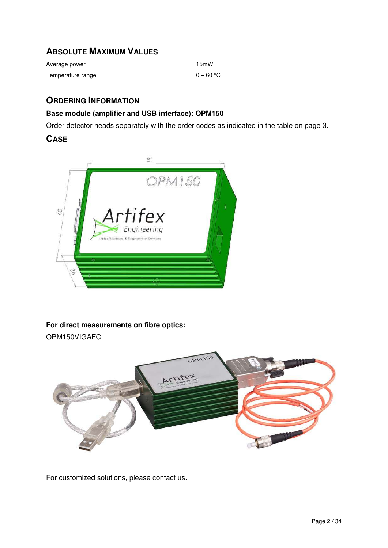# **ABSOLUTE MAXIMUM VALUES**

| Average power     | I5mW     |
|-------------------|----------|
| Temperature range | $-60 °C$ |

# **ORDERING INFORMATION**

### **Base module (amplifier and USB interface): OPM150**

Order detector heads separately with the order codes as indicated in the table on page 3.

### **CASE**



### **For direct measurements on fibre optics:**

OPM150VIGAFC



For customized solutions, please contact us.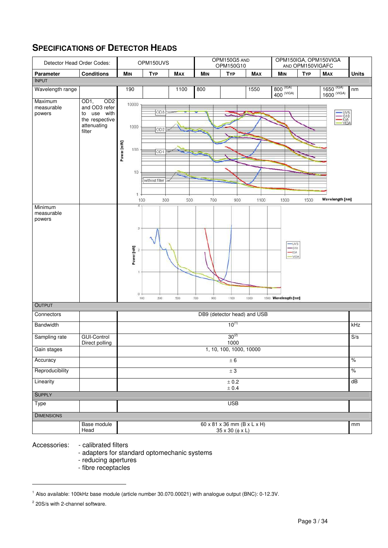# **SPECIFICATIONS OF DETECTOR HEADS**

| Detector Head Order Codes:      |                                                                                           | OPM150UVS  |                                          |                                                                         | OPM150G5 AND<br>OPM150G10 |                   | OPM150IGA, OPM150VIGA<br>AND OPM150VIGAFC |                                                     |                                                                           |            |                                                     |              |
|---------------------------------|-------------------------------------------------------------------------------------------|------------|------------------------------------------|-------------------------------------------------------------------------|---------------------------|-------------------|-------------------------------------------|-----------------------------------------------------|---------------------------------------------------------------------------|------------|-----------------------------------------------------|--------------|
| Parameter                       | <b>Conditions</b>                                                                         |            | <b>MIN</b>                               | <b>TYP</b>                                                              | <b>MAX</b>                | $M_{IN}$          | <b>TYP</b>                                | <b>MAX</b>                                          | <b>MIN</b>                                                                | <b>TYP</b> | <b>MAX</b>                                          | <b>Units</b> |
| <b>INPUT</b>                    |                                                                                           |            |                                          |                                                                         |                           |                   |                                           |                                                     |                                                                           |            |                                                     |              |
| Wavelength range                |                                                                                           |            | 190                                      |                                                                         | 1100                      | 800               |                                           | 1550                                                | 800 (IGA)<br>$400$ (VIGA)                                                 |            | $1650$ <sup>(IGA)</sup><br>$\overline{1600}$ (VIGA) | nm           |
| Maximum<br>measurable<br>powers | OD2<br>OD1,<br>and OD3 refer<br>use with<br>to<br>the respective<br>attenuating<br>filter | Power [mW] | 10000<br>1000<br>100<br>10               | OD <sub>3</sub><br>OD <sub>2</sub><br>OD <sub>1</sub><br>without filter |                           |                   |                                           |                                                     |                                                                           |            | $-0.05$<br>$-0.04$<br>$-0.06$<br>$-0.06$<br>$-0.06$ |              |
|                                 |                                                                                           |            | $^{1}$                                   |                                                                         |                           |                   |                                           |                                                     |                                                                           |            |                                                     |              |
| Minimum<br>measurable<br>powers |                                                                                           |            | 100<br>3<br>Power [nW]<br>$\mathbb{O}$ . | 300<br>100<br>300                                                       | 500<br>500                | 700<br>700<br>900 | 900<br>1100                               | 1100<br>1300                                        | 1300<br>-UVS<br>$-610$<br>$-\n\sqrt{G}A$<br>-VIGA<br>1500 Wavelength [nm] | 1500       | Wavelength [nm]                                     |              |
| OUTPUT                          |                                                                                           |            |                                          |                                                                         |                           |                   |                                           |                                                     |                                                                           |            |                                                     |              |
| Connectors                      |                                                                                           |            |                                          |                                                                         |                           |                   |                                           | DB9 (detector head) and USB                         |                                                                           |            |                                                     |              |
| <b>Bandwidth</b>                |                                                                                           |            |                                          |                                                                         |                           |                   | $10^{(1)}$                                |                                                     |                                                                           |            |                                                     | kHz          |
| Sampling rate                   | <b>GUI-Control</b><br>Direct polling                                                      |            |                                          |                                                                         |                           |                   | $30^{(2)}$<br>1000                        |                                                     |                                                                           |            |                                                     | S/s          |
| Gain stages                     |                                                                                           |            |                                          |                                                                         |                           |                   | 1, 10, 100, 1000, 10000                   |                                                     |                                                                           |            |                                                     |              |
| Accuracy                        |                                                                                           |            |                                          |                                                                         |                           |                   | $\pm$ 6                                   |                                                     |                                                                           |            |                                                     | $\%$         |
| Reproducibility                 |                                                                                           |            |                                          |                                                                         |                           |                   | $\pm$ 3                                   |                                                     |                                                                           |            |                                                     | $\%$         |
| Linearity                       |                                                                                           |            |                                          |                                                                         |                           |                   | ± 0.2<br>$\pm$ 0.4                        |                                                     |                                                                           |            |                                                     | dB           |
| <b>SUPPLY</b>                   |                                                                                           |            |                                          |                                                                         |                           |                   |                                           |                                                     |                                                                           |            |                                                     |              |
| Type                            |                                                                                           |            |                                          |                                                                         |                           |                   | <b>USB</b>                                |                                                     |                                                                           |            |                                                     |              |
| <b>DIMENSIONS</b>               |                                                                                           |            |                                          |                                                                         |                           |                   |                                           |                                                     |                                                                           |            |                                                     |              |
|                                 | Base module<br>Head                                                                       |            |                                          |                                                                         |                           |                   | 35 x 30 (φ x L)                           | $60 \times 81 \times 36$ mm $(B \times L \times H)$ |                                                                           |            |                                                     | mm           |

Accessories: - calibrated filters

- adapters for standard optomechanic systems

- reducing apertures
- fibre receptacles

 $\overline{a}$ 

<sup>1</sup> Also available: 100kHz base module (article number 30.070.00021) with analogue output (BNC): 0-12.3V.

<sup>&</sup>lt;sup>2</sup> 20S/s with 2-channel software.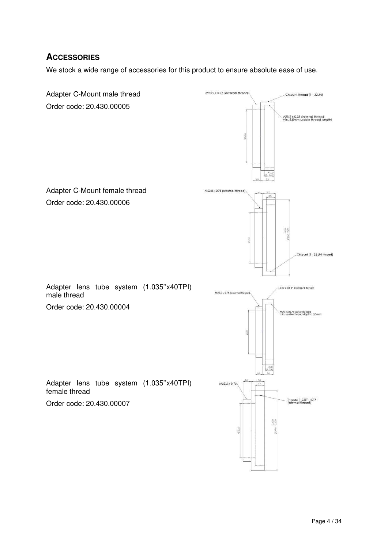# **ACCESSORIES**

We stock a wide range of accessories for this product to ensure absolute ease of use.

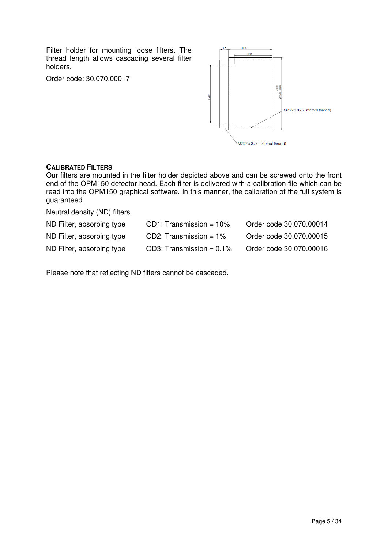Filter holder for mounting loose filters. The thread length allows cascading several filter holders.

Order code: 30.070.00017



#### **CALIBRATED FILTERS**

Our filters are mounted in the filter holder depicted above and can be screwed onto the front end of the OPM150 detector head. Each filter is delivered with a calibration file which can be read into the OPM150 graphical software. In this manner, the calibration of the full system is guaranteed.

Neutral density (ND) filters

| ND Filter, absorbing type | $OD1: Transmission = 10%$   | Order code 30.070.00014 |
|---------------------------|-----------------------------|-------------------------|
| ND Filter, absorbing type | OD2: Transmission = $1\%$   | Order code 30.070.00015 |
| ND Filter, absorbing type | OD3: Transmission = $0.1\%$ | Order code 30.070.00016 |

Please note that reflecting ND filters cannot be cascaded.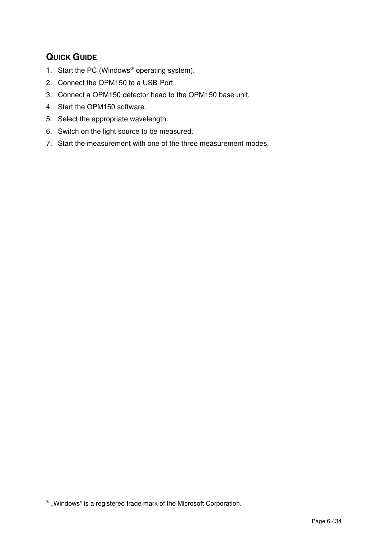# **QUICK GUIDE**

- 1. Start the PC (Windows<sup>®</sup> operating system).
- 2. Connect the OPM150 to a USB-Port.
- 3. Connect a OPM150 detector head to the OPM150 base unit.
- 4. Start the OPM150 software.
- 5. Select the appropriate wavelength.
- 6. Switch on the light source to be measured.
- 7. Start the measurement with one of the three measurement modes.

1

 $^{\circledast}$  "Windows" is a registered trade mark of the Microsoft Corporation.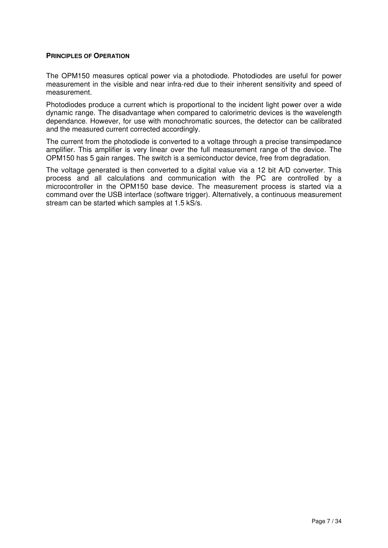#### **PRINCIPLES OF OPERATION**

The OPM150 measures optical power via a photodiode. Photodiodes are useful for power measurement in the visible and near infra-red due to their inherent sensitivity and speed of measurement.

Photodiodes produce a current which is proportional to the incident light power over a wide dynamic range. The disadvantage when compared to calorimetric devices is the wavelength dependance. However, for use with monochromatic sources, the detector can be calibrated and the measured current corrected accordingly.

The current from the photodiode is converted to a voltage through a precise transimpedance amplifier. This amplifier is very linear over the full measurement range of the device. The OPM150 has 5 gain ranges. The switch is a semiconductor device, free from degradation.

The voltage generated is then converted to a digital value via a 12 bit A/D converter. This process and all calculations and communication with the PC are controlled by a microcontroller in the OPM150 base device. The measurement process is started via a command over the USB interface (software trigger). Alternatively, a continuous measurement stream can be started which samples at 1.5 kS/s.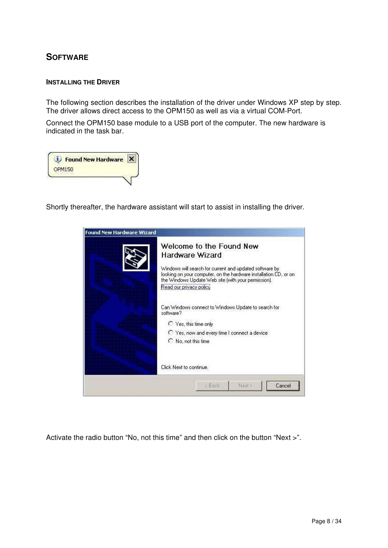# **SOFTWARE**

#### **INSTALLING THE DRIVER**

The following section describes the installation of the driver under Windows XP step by step. The driver allows direct access to the OPM150 as well as via a virtual COM-Port.

Connect the OPM150 base module to a USB port of the computer. The new hardware is indicated in the task bar.

|               | <b>Found New Hardware</b> |  |
|---------------|---------------------------|--|
| <b>OPM150</b> |                           |  |
|               |                           |  |

Shortly thereafter, the hardware assistant will start to assist in installing the driver.



Activate the radio button "No, not this time" and then click on the button "Next >".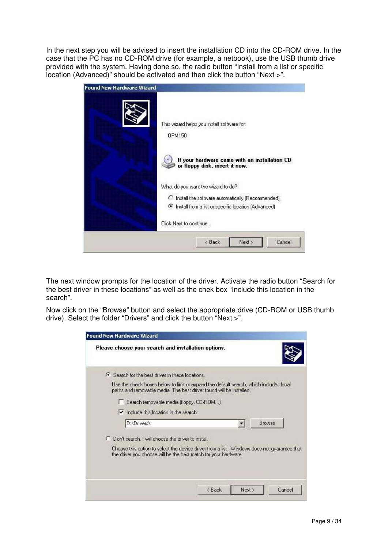In the next step you will be advised to insert the installation CD into the CD-ROM drive. In the case that the PC has no CD-ROM drive (for example, a netbook), use the USB thumb drive provided with the system. Having done so, the radio button "Install from a list or specific location (Advanced)" should be activated and then click the button "Next >".



The next window prompts for the location of the driver. Activate the radio button "Search for the best driver in these locations" as well as the chek box "Include this location in the search".

Now click on the "Browse" button and select the appropriate drive (CD-ROM or USB thumb drive). Select the folder "Drivers" and click the button "Next >".

| Please choose your search and installation options.   |                                                                                                                                                                |        |
|-------------------------------------------------------|----------------------------------------------------------------------------------------------------------------------------------------------------------------|--------|
| ← Search for the best driver in these locations.      |                                                                                                                                                                |        |
|                                                       | Use the check boxes below to limit or expand the default search, which includes local<br>paths and removable media. The best driver found will be installed.   |        |
| Search removable media (floppy, CD-ROM)               |                                                                                                                                                                |        |
| $\triangleright$ Include this location in the search: |                                                                                                                                                                |        |
| D:\Drivers\                                           |                                                                                                                                                                | Browse |
| C Don't search. I will choose the driver to install.  |                                                                                                                                                                |        |
|                                                       | Choose this option to select the device driver from a list. Windows does not quarantee that<br>the driver you choose will be the best match for your hardware. |        |
|                                                       |                                                                                                                                                                |        |
|                                                       |                                                                                                                                                                |        |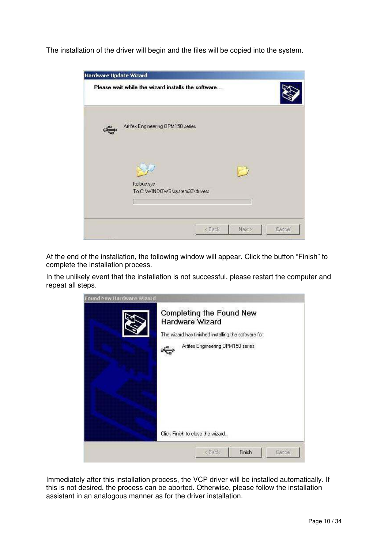The installation of the driver will begin and the files will be copied into the system.

| <b>Hardware Update Wizard</b>                       |        |        |        |
|-----------------------------------------------------|--------|--------|--------|
| Please wait while the wizard installs the software  |        |        |        |
| Artifex Engineering OPM150 series                   |        |        |        |
|                                                     |        |        |        |
| ftdibus.sys<br>To C:\WINDOWS\system32\drivers<br>c. |        |        |        |
|                                                     | x Back | Next > | Cancel |

At the end of the installation, the following window will appear. Click the button "Finish" to complete the installation process.

In the unlikely event that the installation is not successful, please restart the computer and repeat all steps.



Immediately after this installation process, the VCP driver will be installed automatically. If this is not desired, the process can be aborted. Otherwise, please follow the installation assistant in an analogous manner as for the driver installation.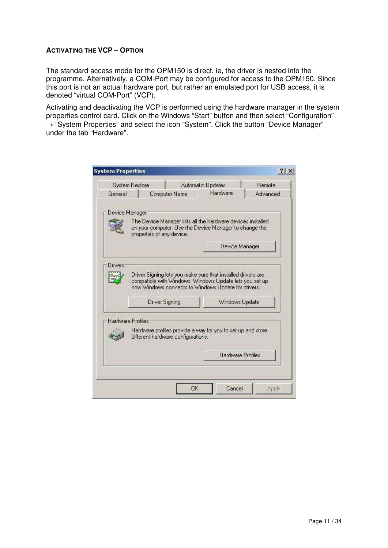#### **ACTIVATING THE VCP – OPTION**

The standard access mode for the OPM150 is direct, ie, the driver is nested into the programme. Alternatively, a COM-Port may be configured for access to the OPM150. Since this port is not an actual hardware port, but rather an emulated port for USB access, it is denoted "virtual COM-Port" (VCP).

Activating and deactivating the VCP is performed using the hardware manager in the system properties control card. Click on the Windows "Start" button and then select "Configuration" → "System Properties" and select the icon "System". Click the button "Device Manager" under the tab "Hardware".

|                | <b>System Restore</b>                               | <b>Automatic Updates</b><br>Remote                                                                                      |
|----------------|-----------------------------------------------------|-------------------------------------------------------------------------------------------------------------------------|
| General        | Computer Name                                       | Hardware<br>Advanced                                                                                                    |
|                | Device Manager                                      |                                                                                                                         |
|                | properties of any device.                           | The Device Manager lists all the hardware devices installed<br>on your computer. Use the Device Manager to change the   |
|                |                                                     | Device Manager                                                                                                          |
| <b>Drivers</b> |                                                     |                                                                                                                         |
|                | how Windows connects to Windows Update for drivers. | Driver Signing lets you make sure that installed drivers are<br>compatible with Windows. Windows Update lets you set up |
|                | Driver Signing                                      | Windows Update                                                                                                          |
|                | Hardware Profiles                                   |                                                                                                                         |
|                | different hardware configurations.                  | Hardware profiles provide a way for you to set up and store                                                             |
|                |                                                     | <b>Hardware Profiles</b>                                                                                                |
|                |                                                     |                                                                                                                         |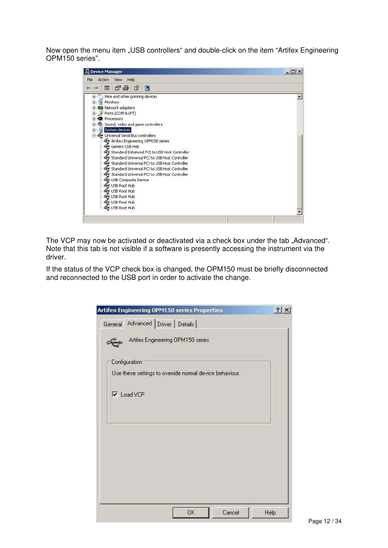Now open the menu item "USB controllers" and double-click on the item "Artifex Engineering OPM150 series".

| Device Manager                                                                                                                                                                                                                                                                                                                                                                                                                                                                                                                                                                                                                | $ \Box$ $\times$ |
|-------------------------------------------------------------------------------------------------------------------------------------------------------------------------------------------------------------------------------------------------------------------------------------------------------------------------------------------------------------------------------------------------------------------------------------------------------------------------------------------------------------------------------------------------------------------------------------------------------------------------------|------------------|
| Help<br>File.<br>Action View                                                                                                                                                                                                                                                                                                                                                                                                                                                                                                                                                                                                  |                  |
| $r$ $r$ $r$ $r$<br>$\mathbb{R}$                                                                                                                                                                                                                                                                                                                                                                                                                                                                                                                                                                                               |                  |
| Mice and other pointing devices<br>田<br>审<br>Monitors<br>王 脚 Network adapters<br>Ports (COM & LPT)<br>Y<br>审<br>Processors<br>$+$<br>Sound, video and game controllers<br>Ŧ<br>System devices<br>田山县<br>Universal Serial Bus controllers<br>Artifex Engineering OPM150 series<br>Generic USB Hub<br>Standard Enhanced PCI to USB Host Controller<br>Standard Universal PCI to USB Host Controller<br>Standard Universal PCI to USB Host Controller<br>Standard Universal PCI to USB Host Controller<br>G→ Standard Universal PCI to USB Host Controller<br>USB Composite Device<br>Set USB Root Hub<br><b>CO</b> USB Root Hub |                  |
| ₩ USB Root Hub<br>₩ USB Root Hub                                                                                                                                                                                                                                                                                                                                                                                                                                                                                                                                                                                              |                  |
| <b>€</b> USB Root Hub                                                                                                                                                                                                                                                                                                                                                                                                                                                                                                                                                                                                         |                  |
|                                                                                                                                                                                                                                                                                                                                                                                                                                                                                                                                                                                                                               |                  |

The VCP may now be activated or deactivated via a check box under the tab "Advanced". Note that this tab is not visible if a software is presently accessing the instrument via the driver.

If the status of the VCP check box is changed, the OPM150 must be briefly disconnected and reconnected to the USB port in order to activate the change.

|                                   | Artifex Engineering OPM150 series Properties            |        | ? <br>$\times$ |
|-----------------------------------|---------------------------------------------------------|--------|----------------|
| General Advanced Driver   Details |                                                         |        |                |
|                                   | Artifex Engineering OPM150 series                       |        |                |
| Configuration                     |                                                         |        |                |
|                                   | Use these settings to override normal device behaviour. |        |                |
| $\nabla$ Load VCP                 |                                                         |        |                |
|                                   |                                                         |        |                |
|                                   |                                                         |        |                |
|                                   |                                                         |        |                |
|                                   |                                                         |        |                |
|                                   |                                                         |        |                |
|                                   |                                                         |        |                |
|                                   |                                                         |        |                |
|                                   |                                                         |        |                |
|                                   | OK.                                                     | Cancel | Help           |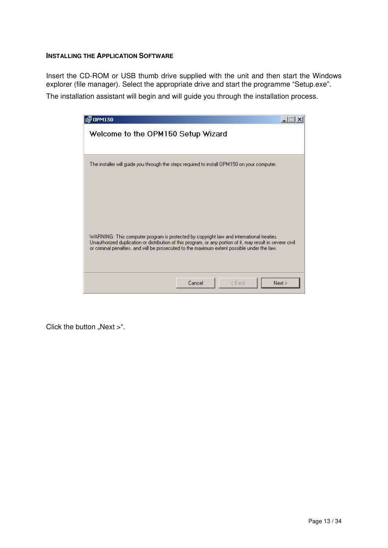#### **INSTALLING THE APPLICATION SOFTWARE**

Insert the CD-ROM or USB thumb drive supplied with the unit and then start the Windows explorer (file manager). Select the appropriate drive and start the programme "Setup.exe".

The installation assistant will begin and will guide you through the installation process.

| OPM150                                                                                                                                                                                                                                                                                                |        |                                         |        |
|-------------------------------------------------------------------------------------------------------------------------------------------------------------------------------------------------------------------------------------------------------------------------------------------------------|--------|-----------------------------------------|--------|
| Welcome to the OPM150 Setup Wizard                                                                                                                                                                                                                                                                    |        |                                         |        |
| The installer will guide you through the steps required to install OPM150 on your computer.                                                                                                                                                                                                           |        |                                         |        |
| WARNING: This computer program is protected by copyright law and international treaties.<br>Unauthorized duplication or distribution of this program, or any portion of it, may result in severe civil<br>or criminal penalties, and will be prosecuted to the maximum extent possible under the law. |        |                                         |        |
|                                                                                                                                                                                                                                                                                                       | Cancel | <back< td=""><td>Next &gt;</td></back<> | Next > |

Click the button "Next  $>$ ".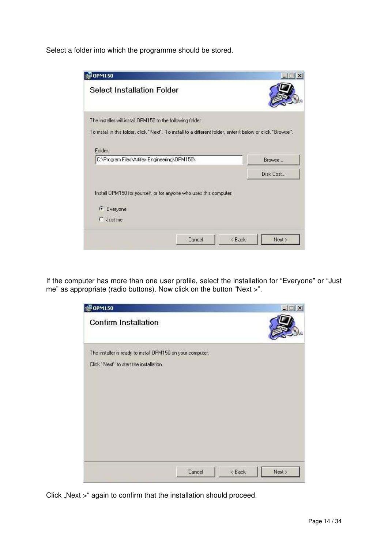Select a folder into which the programme should be stored.



If the computer has more than one user profile, select the installation for "Everyone" or "Just me" as appropriate (radio buttons). Now click on the button "Next >".



Click "Next >" again to confirm that the installation should proceed.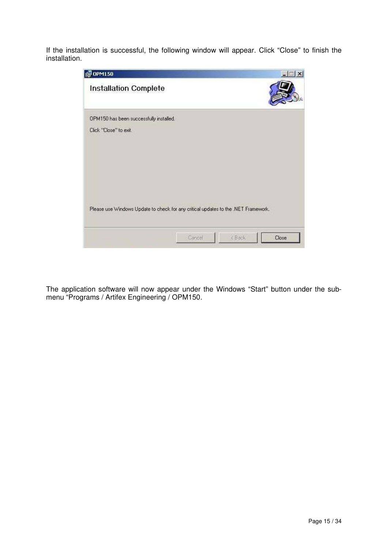If the installation is successful, the following window will appear. Click "Close" to finish the installation.



The application software will now appear under the Windows "Start" button under the submenu "Programs / Artifex Engineering / OPM150.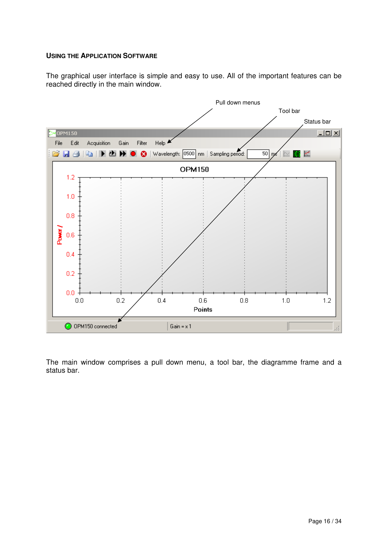#### **USING THE APPLICATION SOFTWARE**

The graphical user interface is simple and easy to use. All of the important features can be reached directly in the main window.



The main window comprises a pull down menu, a tool bar, the diagramme frame and a status bar.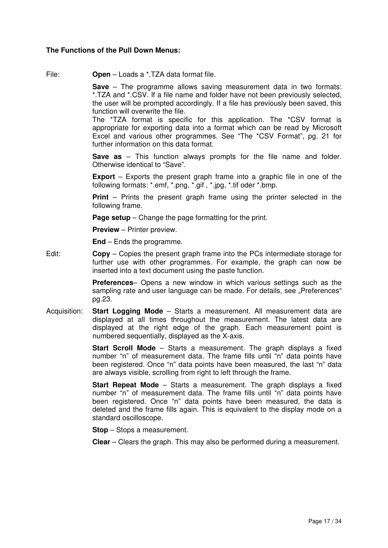#### **The Functions of the Pull Down Menus:**

File: **Open** – Loads a \*.TZA data format file.

 **Save** – The programme allows saving measurement data in two formats: \*.TZA and \*.CSV. If a file name and folder have not been previously selected, the user will be prompted accordingly. If a file has previously been saved, this function will overwrite the file.

The \*TZA format is specific for this application. The \*CSV format is appropriate for exporting data into a format which can be read by Microsoft Excel and various other programmes. See "The \*CSV Format", pg. 21 for further information on this data format.

 **Save as** – This function always prompts for the file name and folder. Otherwise identical to "Save".

**Export** – Exports the present graph frame into a graphic file in one of the following formats: \*.emf, \*.png, \*.gif , \*.jpg, \*.tif oder \*.bmp.

 **Print** – Prints the present graph frame using the printer selected in the following frame.

**Page setup** – Change the page formatting for the print.

**Preview** – Printer preview.

**End** – Ends the programme.

Edit: **Copy** – Copies the present graph frame into the PCs intermediate storage for further use with other programmes. For example, the graph can now be inserted into a text document using the paste function.

> **Preferences**– Opens a new window in which various settings such as the sampling rate and user language can be made. For details, see "Preferences" pg.23.

Acquisition: **Start Logging Mode** – Starts a measurement. All measurement data are displayed at all times throughout the measurement. The latest data are displayed at the right edge of the graph. Each measurement point is numbered sequentially, displayed as the X-axis.

> **Start Scroll Mode** – Starts a measurement. The graph displays a fixed number "n" of measurement data. The frame fills until "n" data points have been registered. Once "n" data points have been measured, the last "n" data are always visible, scrolling from right to left through the frame.

> **Start Repeat Mode** – Starts a measurement. The graph displays a fixed number "n" of measurement data. The frame fills until "n" data points have been registered. Once "n" data points have been measured, the data is deleted and the frame fills again. This is equivalent to the display mode on a standard oscilloscope.

**Stop** – Stops a measurement.

**Clear** – Clears the graph. This may also be performed during a measurement.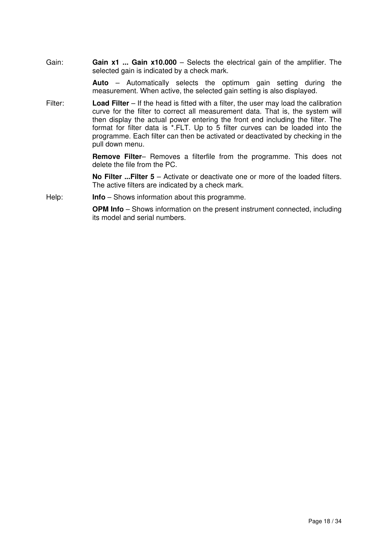Gain: **Gain x1 ... Gain x10.000** – Selects the electrical gain of the amplifier. The selected gain is indicated by a check mark.

> **Auto** – Automatically selects the optimum gain setting during the measurement. When active, the selected gain setting is also displayed.

Filter: **Load Filter** – If the head is fitted with a filter, the user may load the calibration curve for the filter to correct all measurement data. That is, the system will then display the actual power entering the front end including the filter. The format for filter data is \*.FLT. Up to 5 filter curves can be loaded into the programme. Each filter can then be activated or deactivated by checking in the pull down menu.

> **Remove Filter**– Removes a filterfile from the programme. This does not delete the file from the PC.

> **No Filter ...Filter 5** – Activate or deactivate one or more of the loaded filters. The active filters are indicated by a check mark.

Help: **Info** – Shows information about this programme.

**OPM Info** – Shows information on the present instrument connected, including its model and serial numbers.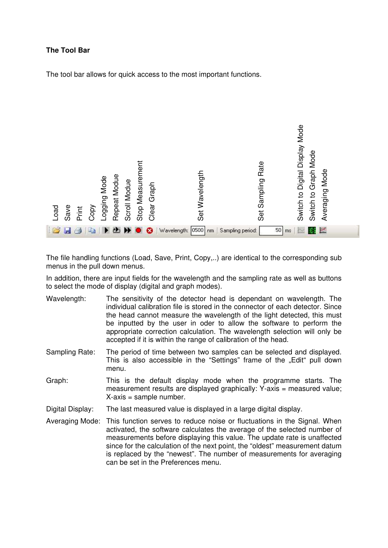#### **The Tool Bar**

The tool bar allows for quick access to the most important functions.



The file handling functions (Load, Save, Print, Copy,..) are identical to the corresponding sub menus in the pull down menus.

In addition, there are input fields for the wavelength and the sampling rate as well as buttons to select the mode of display (digital and graph modes).

- Wavelength: The sensitivity of the detector head is dependant on wavelength. The individual calibration file is stored in the connector of each detector. Since the head cannot measure the wavelength of the light detected, this must be inputted by the user in oder to allow the software to perform the appropriate correction calculation. The wavelength selection will only be accepted if it is within the range of calibration of the head.
- Sampling Rate: The period of time between two samples can be selected and displayed. This is also accessible in the "Settings" frame of the "Edit" pull down menu.
- Graph: This is the default display mode when the programme starts. The measurement results are displayed graphically: Y-axis = measured value; X-axis = sample number.

Digital Display: The last measured value is displayed in a large digital display.

Averaging Mode: This function serves to reduce noise or fluctuations in the Signal. When activated, the software calculates the average of the selected number of measurements before displaying this value. The update rate is unaffected since for the calculation of the next point, the "oldest" measurement datum is replaced by the "newest". The number of measurements for averaging can be set in the Preferences menu.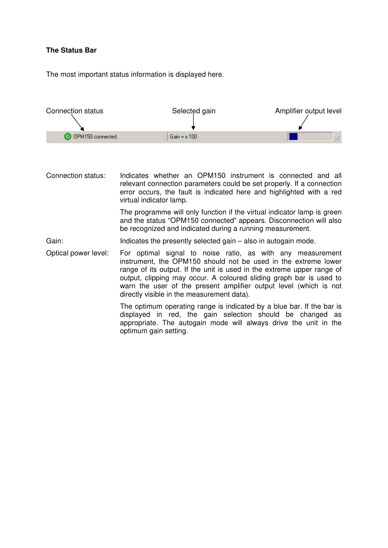#### **The Status Bar**

The most important status information is displayed here.



Connection status: Indicates whether an OPM150 instrument is connected and all relevant connection parameters could be set properly. If a connection error occurs, the fault is indicated here and highlighted with a red virtual indicator lamp.

> The programme will only function if the virtual indicator lamp is green and the status "OPM150 connected" appears. Disconnection will also be recognized and indicated during a running measurement.

Gain: Indicates the presently selected gain – also in autogain mode.

Optical power level: For optimal signal to noise ratio, as with any measurement instrument, the OPM150 should not be used in the extreme lower range of its output. If the unit is used in the extreme upper range of output, clipping may occur. A coloured sliding graph bar is used to warn the user of the present amplifier output level (which is not directly visible in the measurement data).

> The optimum operating range is indicated by a blue bar. If the bar is displayed in red, the gain selection should be changed as appropriate. The autogain mode will always drive the unit in the optimum gain setting.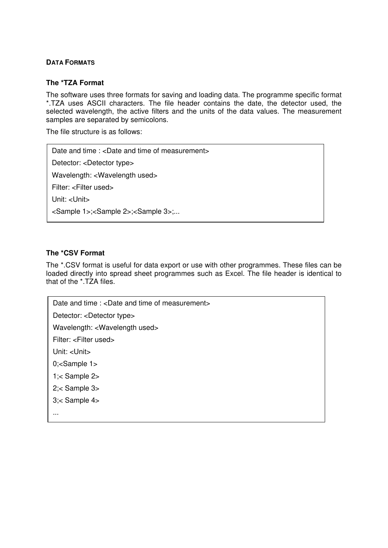#### **DATA FORMATS**

#### **The \*TZA Format**

The software uses three formats for saving and loading data. The programme specific format \*.TZA uses ASCII characters. The file header contains the date, the detector used, the selected wavelength, the active filters and the units of the data values. The measurement samples are separated by semicolons.

The file structure is as follows:

Date and time : <Date and time of measurement> Detector: <Detector type> Wavelength: <Wavelength used> Filter: <Filter used> Unit: <Unit> <Sample 1>;<Sample 2>;<Sample 3>;...

#### **The \*CSV Format**

The \*.CSV format is useful for data export or use with other programmes. These files can be loaded directly into spread sheet programmes such as Excel. The file header is identical to that of the \*.TZA files.

Date and time : <Date and time of measurement> Detector: <Detector type> Wavelength: <Wavelength used> Filter: <Filter used> Unit: <Unit> 0;<Sample 1> 1;< Sample 2> 2;< Sample 3> 3;< Sample 4> ...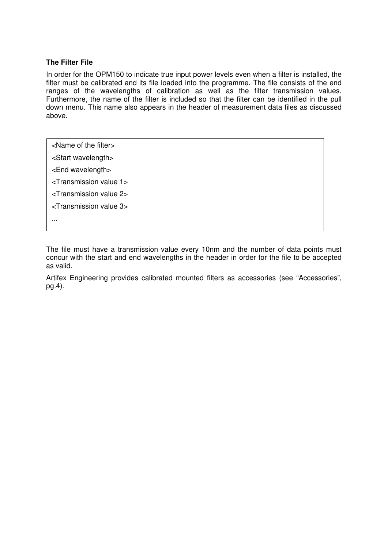#### **The Filter File**

In order for the OPM150 to indicate true input power levels even when a filter is installed, the filter must be calibrated and its file loaded into the programme. The file consists of the end ranges of the wavelengths of calibration as well as the filter transmission values. Furthermore, the name of the filter is included so that the filter can be identified in the pull down menu. This name also appears in the header of measurement data files as discussed above.

<Name of the filter>

<Start wavelength>

<End wavelength>

<Transmission value 1>

<Transmission value 2>

<Transmission value 3>

...

The file must have a transmission value every 10nm and the number of data points must concur with the start and end wavelengths in the header in order for the file to be accepted as valid.

Artifex Engineering provides calibrated mounted filters as accessories (see "Accessories", pg.4).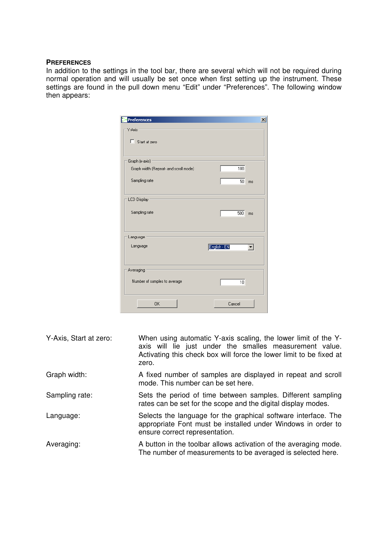#### **PREFERENCES**

In addition to the settings in the tool bar, there are several which will not be required during normal operation and will usually be set once when first setting up the instrument. These settings are found in the pull down menu "Edit" under "Preferences". The following window then appears:

| <b>Preferences</b>                    | $\overline{\mathsf{x}}$ |
|---------------------------------------|-------------------------|
| Y-Axis                                |                         |
| Start at zero                         |                         |
| Graph (x-axis)                        |                         |
| Graph width (Repeat- and scroll mode) | 100                     |
| Sampling rate                         | 50 <sup>°</sup><br>ms   |
| <b>LCD Display</b>                    |                         |
| Sampling rate                         | 500<br>ms               |
| Language                              |                         |
| Language                              | English - EN            |
| Averaging                             |                         |
| Number of samples to average          | $\overline{10}$         |
| 0K                                    | Cancel                  |

| Y-Axis, Start at zero: | When using automatic Y-axis scaling, the lower limit of the Y-<br>axis will lie just under the smalles measurement value.<br>Activating this check box will force the lower limit to be fixed at<br>zero. |
|------------------------|-----------------------------------------------------------------------------------------------------------------------------------------------------------------------------------------------------------|
| Graph width:           | A fixed number of samples are displayed in repeat and scroll<br>mode. This number can be set here.                                                                                                        |
| Sampling rate:         | Sets the period of time between samples. Different sampling<br>rates can be set for the scope and the digital display modes.                                                                              |
| Language:              | Selects the language for the graphical software interface. The<br>appropriate Font must be installed under Windows in order to<br>ensure correct representation.                                          |
| Averaging:             | A button in the toolbar allows activation of the averaging mode.<br>The number of measurements to be averaged is selected here.                                                                           |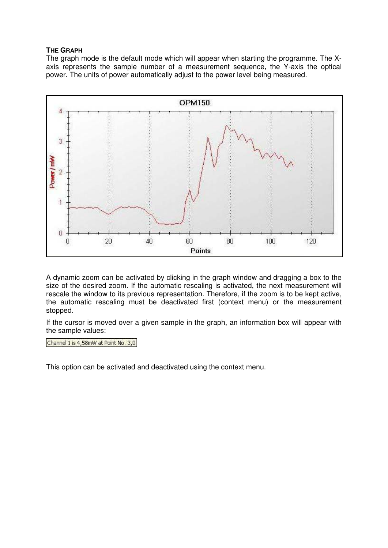#### **THE GRAPH**

The graph mode is the default mode which will appear when starting the programme. The Xaxis represents the sample number of a measurement sequence, the Y-axis the optical power. The units of power automatically adjust to the power level being measured.



A dynamic zoom can be activated by clicking in the graph window and dragging a box to the size of the desired zoom. If the automatic rescaling is activated, the next measurement will rescale the window to its previous representation. Therefore, if the zoom is to be kept active, the automatic rescaling must be deactivated first (context menu) or the measurement stopped.

If the cursor is moved over a given sample in the graph, an information box will appear with the sample values:

Channel 1 is 4,58mW at Point No. 3,0

This option can be activated and deactivated using the context menu.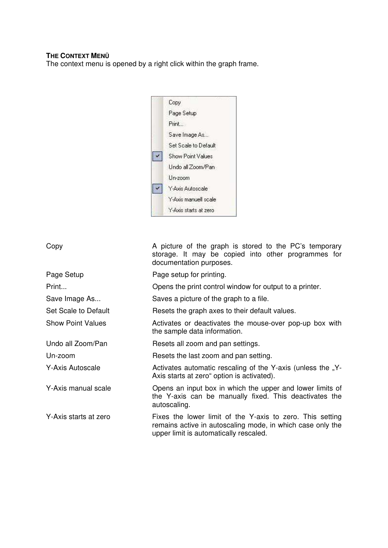#### **THE CONTEXT MENÜ**

The context menu is opened by a right click within the graph frame.



#### Copy **A** picture of the graph is stored to the PC's temporary

Page Setup **Page setup for printing.** Print... Opens the print control window for output to a printer. Save Image As... Saves a picture of the graph to a file. Set Scale to Default Resets the graph axes to their default values. Show Point Values **Activates or deactivates the mouse-over pop-up box with** the sample data information. Undo all Zoom/Pan Resets all zoom and pan settings. Un-zoom Resets the last zoom and pan setting. Y-Axis Autoscale **Activates automatic rescaling of the Y-axis (unless the "Y-**Axis starts at zero" option is activated). Y-Axis manual scale **Opens** an input box in which the upper and lower limits of the Y-axis can be manually fixed. This deactivates the autoscaling. Y-Axis starts at zero **Fixes** the lower limit of the Y-axis to zero. This setting remains active in autoscaling mode, in which case only the

upper limit is automatically rescaled.

documentation purposes.

storage. It may be copied into other programmes for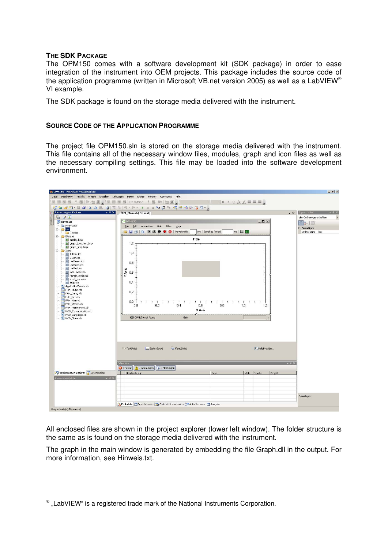#### **THE SDK PACKAGE**

The OPM150 comes with a software development kit (SDK package) in order to ease integration of the instrument into OEM projects. This package includes the source code of the application programme (written in Microsoft VB.net version 2005) as well as a LabVIEW VI example.

The SDK package is found on the storage media delivered with the instrument.

#### **SOURCE CODE OF THE APPLICATION PROGRAMME**

The project file OPM150.sln is stored on the storage media delivered with the instrument. This file contains all of the necessary window files, modules, graph and icon files as well as the necessary compiling settings. This file may be loaded into the software development environment.

| COPM150 - Microsoft Visual Studio<br>$-10 \times$     |                                                                                    |                                                                                                                                                                     |                    |                              |
|-------------------------------------------------------|------------------------------------------------------------------------------------|---------------------------------------------------------------------------------------------------------------------------------------------------------------------|--------------------|------------------------------|
| Datei                                                 | Bearbeiten Ansicht Projekt Erstellen Debuggen Daten Extras Fenster Community Hilfe |                                                                                                                                                                     |                    |                              |
| 型里<br>24 局                                            |                                                                                    | $\bullet \qquad \bullet \qquad \bullet \qquad B \qquad I \qquad \underline{0} \qquad \underline{A} \qquad \underline{A'} \equiv \equiv \equiv \equiv \underline{0}$ |                    |                              |
|                                                       | 5 . 6 . 7 . 7 . 8 . 8 . 8 . 8 . 7 . 8 . 9 . 7 . 8 . 8 . 9 . 8 . 7 . 8 . 8 . 7 . 8  |                                                                                                                                                                     |                    |                              |
| Projektmappen-Explorer<br>$-4 \times$<br>$\mathbf{y}$ | FRM_Main.vb [Entwurf]                                                              |                                                                                                                                                                     | $\bullet$ $\times$ | Eigenschaften<br>$-4 \times$ |
| *Toolbox<br>高 3 3                                     |                                                                                    |                                                                                                                                                                     |                    | bin Ordnereigenschaften      |
| <b>W</b> OPM150<br>My Project                         | OPM150                                                                             |                                                                                                                                                                     | $  D $ $\times$    | 图 2-1回                       |
| E- bin                                                | Acquisition<br>Eile Edit<br>Gain<br>Filter<br>Help                                 |                                                                                                                                                                     |                    | <b>El Sonstiges</b>          |
| Release                                               | <b>BRADIN DD O</b> Wavelength:                                                     | $ms \geq 1$<br>nm Sampling Period                                                                                                                                   |                    | Ordnername bin               |
| E- Bitmaps<br>display.bmp                             | Title                                                                              |                                                                                                                                                                     |                    |                              |
| graph_loeschen.bmp                                    | 1,2                                                                                |                                                                                                                                                                     |                    |                              |
| graph_stop.bmp<br>$\Box$ Icons                        |                                                                                    |                                                                                                                                                                     |                    |                              |
| <b>III</b> Artifex.ico                                | 1,0                                                                                |                                                                                                                                                                     |                    |                              |
| <b>III</b> Graph.ico<br><b>III</b> LedGreen.ico       |                                                                                    |                                                                                                                                                                     |                    |                              |
| LedNone.ico                                           | 0,8                                                                                |                                                                                                                                                                     |                    |                              |
| <b>III</b> LedRed.ico                                 |                                                                                    |                                                                                                                                                                     |                    |                              |
| lift logg_mode.ico<br>repeat_mode.ico                 | $Y$ Axis                                                                           |                                                                                                                                                                     |                    |                              |
| scroll_mode.ico                                       |                                                                                    |                                                                                                                                                                     |                    |                              |
| En Stop.ico<br><sup>Yel</sup> ApplicationEvents.vb    | 0,4                                                                                |                                                                                                                                                                     |                    |                              |
| FRM_About.vb                                          |                                                                                    |                                                                                                                                                                     |                    |                              |
| FRM_Dialog.vb                                         | 0,2                                                                                |                                                                                                                                                                     |                    |                              |
| FRM_Info.vb<br>E FRM_Main.vb                          | 0,0                                                                                |                                                                                                                                                                     |                    |                              |
| FRM_MScale.vb                                         | 0,2<br>0.6<br>0,4<br>0.0                                                           | 0.8<br>1,0                                                                                                                                                          | 1,2                |                              |
| <b>ERM</b> Preferences.vb<br>MOD_Communication.vb     | X Axis                                                                             |                                                                                                                                                                     |                    |                              |
| <sup>Ye1</sup> MOD Language.vb                        |                                                                                    |                                                                                                                                                                     |                    |                              |
| MOD_Timer.vb                                          | O OPM150 not found<br>Gain                                                         |                                                                                                                                                                     |                    |                              |
|                                                       |                                                                                    |                                                                                                                                                                     |                    |                              |
|                                                       |                                                                                    |                                                                                                                                                                     |                    |                              |
|                                                       |                                                                                    |                                                                                                                                                                     |                    |                              |
|                                                       |                                                                                    |                                                                                                                                                                     |                    |                              |
|                                                       |                                                                                    |                                                                                                                                                                     |                    |                              |
|                                                       | StatusStrip1<br>MenuStrip1<br><b>Law ToolStrip1</b>                                |                                                                                                                                                                     | F1 HelpProvider1   |                              |
|                                                       |                                                                                    |                                                                                                                                                                     |                    |                              |
|                                                       |                                                                                    |                                                                                                                                                                     |                    |                              |
|                                                       | Fehlerliste                                                                        |                                                                                                                                                                     | $-4x$              |                              |
|                                                       | 10 Warnungen   (i) 0 Meldungen<br>O Fehler                                         |                                                                                                                                                                     |                    |                              |
| Projektmappen-Explorer Datenquellen                   | Beschreibung                                                                       | Datei<br>Zeile                                                                                                                                                      | Spalte<br>Projekt  |                              |
| Ressourcenansicht<br>$-4x$                            |                                                                                    |                                                                                                                                                                     |                    |                              |
|                                                       |                                                                                    |                                                                                                                                                                     |                    |                              |
|                                                       |                                                                                    |                                                                                                                                                                     |                    |                              |
|                                                       |                                                                                    |                                                                                                                                                                     |                    | <b>Sonstiges</b>             |
|                                                       |                                                                                    |                                                                                                                                                                     |                    |                              |
|                                                       | Fehlerliste Befehlsfenster Bodedefinitionsfenster 2 Aufrufbrowser 3 Ausgabe        |                                                                                                                                                                     |                    |                              |
| Gespeicherte(s) Element(e)                            |                                                                                    |                                                                                                                                                                     |                    |                              |

All enclosed files are shown in the project explorer (lower left window). The folder structure is the same as is found on the storage media delivered with the instrument.

The graph in the main window is generated by embedding the file Graph.dll in the output. For more information, see Hinweis.txt.

1

 $^{\circ}$  "LabVIEW" is a registered trade mark of the National Instruments Corporation.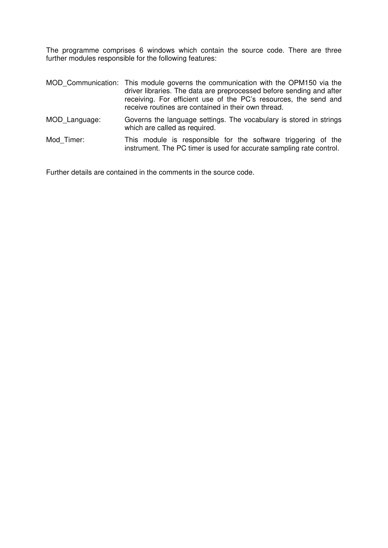The programme comprises 6 windows which contain the source code. There are three further modules responsible for the following features:

|               | MOD Communication: This module governs the communication with the OPM150 via the<br>driver libraries. The data are preprocessed before sending and after<br>receiving. For efficient use of the PC's resources, the send and<br>receive routines are contained in their own thread. |
|---------------|-------------------------------------------------------------------------------------------------------------------------------------------------------------------------------------------------------------------------------------------------------------------------------------|
| MOD Language: | Governs the language settings. The vocabulary is stored in strings<br>which are called as required.                                                                                                                                                                                 |
|               |                                                                                                                                                                                                                                                                                     |

Mod\_Timer: This module is responsible for the software triggering of the instrument. The PC timer is used for accurate sampling rate control.

Further details are contained in the comments in the source code.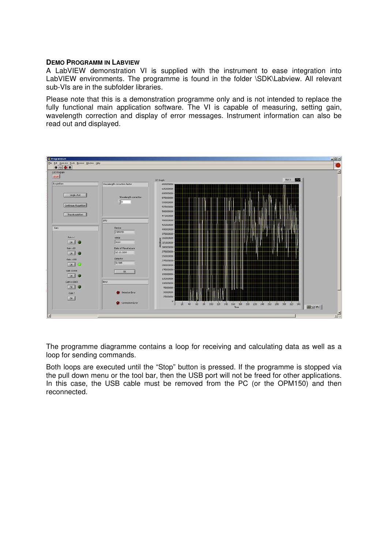#### **DEMO PROGRAMM IN LABVIEW**

A LabVIEW demonstration VI is supplied with the instrument to ease integration into LabVIEW environments. The programme is found in the folder \SDK\Labview. All relevant sub-VIs are in the subfolder libraries.

Please note that this is a demonstration programme only and is not intended to replace the fully functional main application software. The VI is capable of measuring, setting gain, wavelength correction and display of error messages. Instrument information can also be read out and displayed.



The programme diagramme contains a loop for receiving and calculating data as well as a loop for sending commands.

Both loops are executed until the "Stop" button is pressed. If the programme is stopped via the pull down menu or the tool bar, then the USB port will not be freed for other applications. In this case, the USB cable must be removed from the PC (or the OPM150) and then reconnected.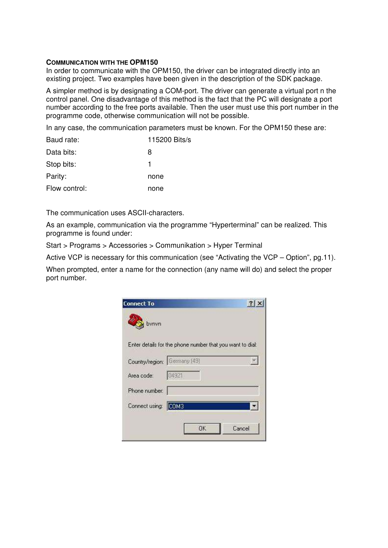#### **COMMUNICATION WITH THE OPM150**

In order to communicate with the OPM150, the driver can be integrated directly into an existing project. Two examples have been given in the description of the SDK package.

A simpler method is by designating a COM-port. The driver can generate a virtual port n the control panel. One disadvantage of this method is the fact that the PC will designate a port number according to the free ports available. Then the user must use this port number in the programme code, otherwise communication will not be possible.

In any case, the communication parameters must be known. For the OPM150 these are:

| Baud rate:    | $115200$ Bits/s |
|---------------|-----------------|
| Data bits:    | 8               |
| Stop bits:    | 1               |
| Parity:       | none            |
| Flow control: | none            |

The communication uses ASCII-characters.

As an example, communication via the programme "Hyperterminal" can be realized. This programme is found under:

Start > Programs > Accessories > Communikation > Hyper Terminal

Active VCP is necessary for this communication (see "Activating the VCP – Option", pg.11).

When prompted, enter a name for the connection (any name will do) and select the proper port number.

| <b>Connect To</b>            |                                                           |        |
|------------------------------|-----------------------------------------------------------|--------|
| bynyn                        |                                                           |        |
|                              | Enter details for the phone number that you want to dial: |        |
| Country/region: Germany (49) |                                                           |        |
| Area code:                   | 04921                                                     |        |
| Phone number:                |                                                           |        |
| Connect using: COM3          |                                                           |        |
|                              |                                                           |        |
|                              | <b>OK</b>                                                 | Cancel |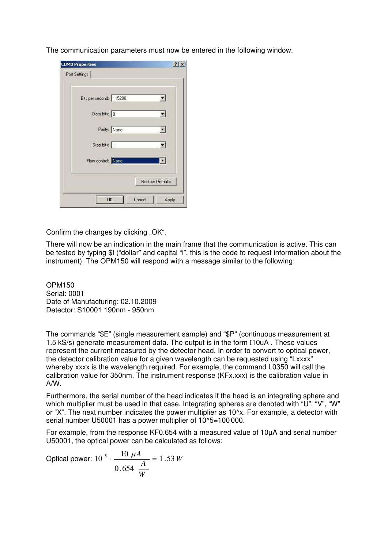The communication parameters must now be entered in the following window.

| Bits per second: 115200 |              |  |
|-------------------------|--------------|--|
| Data bits: 8            |              |  |
|                         | Parity: None |  |
| Stop bits: 1            |              |  |
| Flow control: None      |              |  |

Confirm the changes by clicking "OK".

There will now be an indication in the main frame that the communication is active. This can be tested by typing \$I ("dollar" and capital "i", this is the code to request information about the instrument). The OPM150 will respond with a message similar to the following:

OPM150 Serial: 0001 Date of Manufacturing: 02.10.2009 Detector: S10001 190nm - 950nm

The commands "\$E" (single measurement sample) and "\$P" (continuous measurement at 1.5 kS/s) generate measurement data. The output is in the form I10uA . These values represent the current measured by the detector head. In order to convert to optical power, the detector calibration value for a given wavelength can be requested using "Lxxxx" whereby xxxx is the wavelength required. For example, the command L0350 will call the calibration value for 350nm. The instrument response (KFx.xxx) is the calibration value in A/W.

Furthermore, the serial number of the head indicates if the head is an integrating sphere and which multiplier must be used in that case. Integrating spheres are denoted with "U", "V", "W" or "X". The next number indicates the power multiplier as 10^x. For example, a detector with serial number U50001 has a power multiplier of 10^5=100 000.

For example, from the response KF0.654 with a measured value of 10µA and serial number U50001, the optical power can be calculated as follows:

Optical power: 10<sup>5</sup> 
$$
\cdot \frac{10 \mu A}{0.654 \frac{A}{W}} = 1.53 W
$$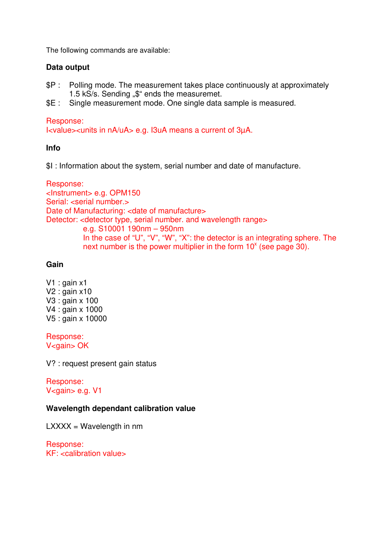The following commands are available:

### **Data output**

- \$P : Polling mode. The measurement takes place continuously at approximately 1.5 kS/s. Sending "\$" ends the measuremet.
- \$E : Single measurement mode. One single data sample is measured.

### Response:

I<value><units in nA/uA> e.g. I3uA means a current of 3µA.

### **Info**

\$I : Information about the system, serial number and date of manufacture.

Response: <Instrument> e.g. OPM150 Serial: <serial number.> Date of Manufacturing: <date of manufacture> Detector: <detector type, serial number. and wavelength range> e.g. S10001 190nm – 950nm In the case of "U", "V", "W", "X": the detector is an integrating sphere. The next number is the power multiplier in the form  $10^x$  (see page 30).

### **Gain**

V1 : gain x1 V2 : gain x10 V3 : gain x 100 V4 : gain x 1000 V5 : gain x 10000

Response: V<gain> OK

V? : request present gain status

Response: V<gain> e.g. V1

### **Wavelength dependant calibration value**

 $LXXX = Wavelength$  in nm

Response:  $KF:$  < calibration values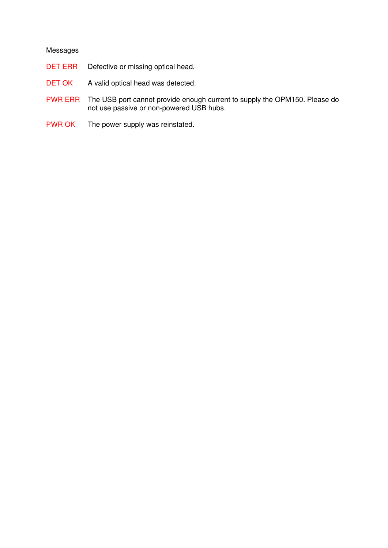#### Messages

- DET ERR Defective or missing optical head.
- DET OK A valid optical head was detected.
- PWR ERR The USB port cannot provide enough current to supply the OPM150. Please do not use passive or non-powered USB hubs.
- PWR OK The power supply was reinstated.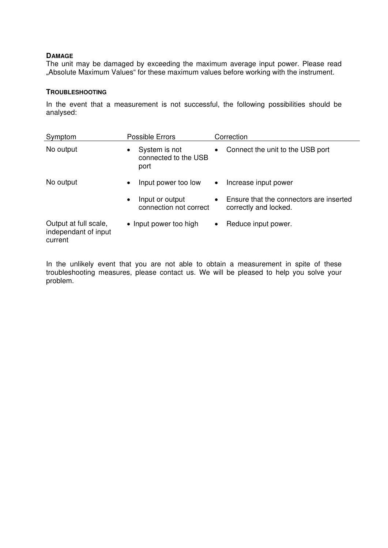#### **DAMAGE**

The unit may be damaged by exceeding the maximum average input power. Please read "Absolute Maximum Values" for these maximum values before working with the instrument.

#### **TROUBLESHOOTING**

In the event that a measurement is not successful, the following possibilities should be analysed:

| Symptom                                                  | Possible Errors                                            | Correction                                                                    |
|----------------------------------------------------------|------------------------------------------------------------|-------------------------------------------------------------------------------|
| No output                                                | System is not<br>$\bullet$<br>connected to the USB<br>port | Connect the unit to the USB port<br>$\bullet$                                 |
| No output                                                | Input power too low<br>$\bullet$                           | Increase input power<br>$\bullet$                                             |
|                                                          | Input or output<br>$\bullet$<br>connection not correct     | Ensure that the connectors are inserted<br>$\bullet$<br>correctly and locked. |
| Output at full scale,<br>independant of input<br>current | • Input power too high                                     | Reduce input power.<br>$\bullet$                                              |

In the unlikely event that you are not able to obtain a measurement in spite of these troubleshooting measures, please contact us. We will be pleased to help you solve your problem.